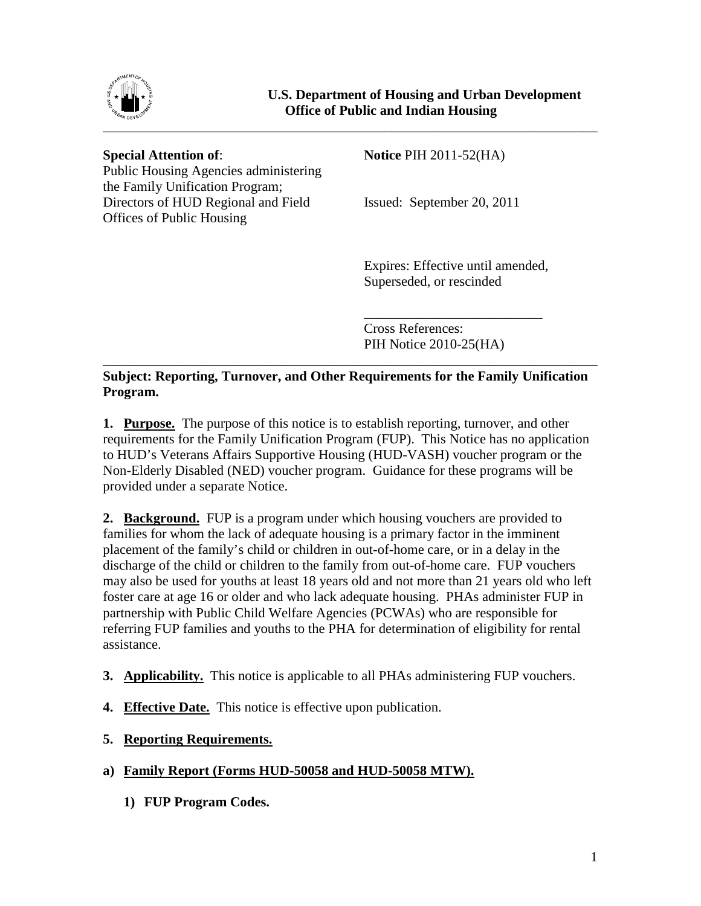

Public Housing Agencies administering the Family Unification Program; Directors of HUD Regional and Field Issued: September 20, 2011 Offices of Public Housing

**Special Attention of: Notice** PIH 2011-52(HA)

Expires: Effective until amended, Superseded, or rescinded

\_\_\_\_\_\_\_\_\_\_\_\_\_\_\_\_\_\_\_\_\_\_\_\_\_\_ Cross References: PIH Notice 2010-25(HA)

## **Subject: Reporting, Turnover, and Other Requirements for the Family Unification Program.**

\_\_\_\_\_\_\_\_\_\_\_\_\_\_\_\_\_\_\_\_\_\_\_\_\_\_\_\_\_\_\_\_\_\_\_\_\_\_\_\_\_\_\_\_\_\_\_\_\_\_\_\_\_\_\_\_\_\_\_\_\_\_\_\_\_\_\_\_\_\_\_\_

**1. Purpose.** The purpose of this notice is to establish reporting, turnover, and other requirements for the Family Unification Program (FUP). This Notice has no application to HUD's Veterans Affairs Supportive Housing (HUD-VASH) voucher program or the Non-Elderly Disabled (NED) voucher program. Guidance for these programs will be provided under a separate Notice.

**2. Background.** FUP is a program under which housing vouchers are provided to families for whom the lack of adequate housing is a primary factor in the imminent placement of the family's child or children in out-of-home care, or in a delay in the discharge of the child or children to the family from out-of-home care. FUP vouchers may also be used for youths at least 18 years old and not more than 21 years old who left foster care at age 16 or older and who lack adequate housing. PHAs administer FUP in partnership with Public Child Welfare Agencies (PCWAs) who are responsible for referring FUP families and youths to the PHA for determination of eligibility for rental assistance.

- **3. Applicability.** This notice is applicable to all PHAs administering FUP vouchers.
- **4. Effective Date.** This notice is effective upon publication.
- **5. Reporting Requirements.**
- **a) Family Report (Forms HUD-50058 and HUD-50058 MTW).**
	- **1) FUP Program Codes.**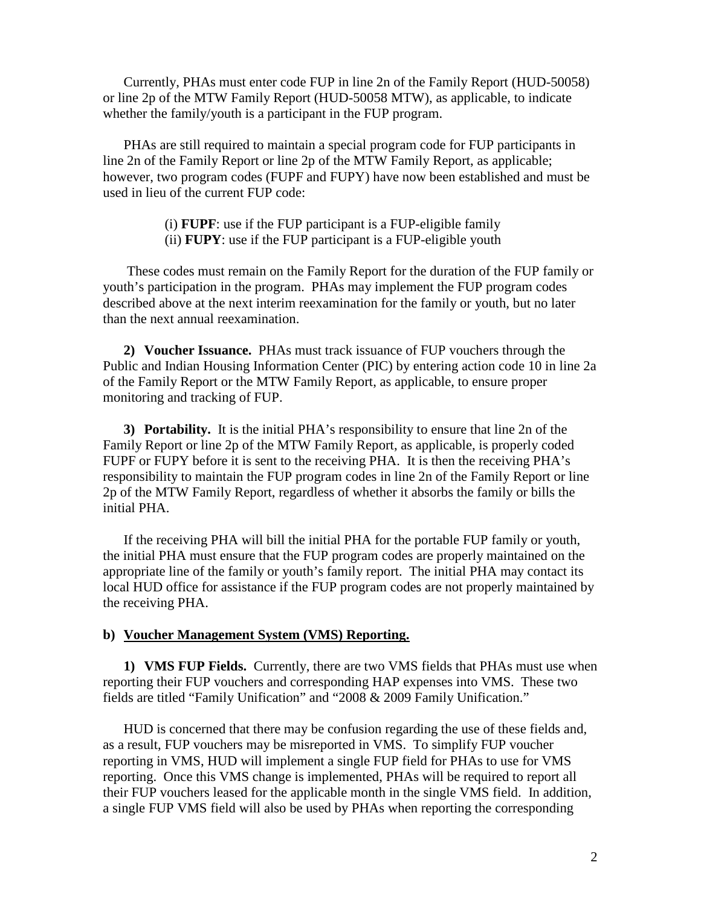Currently, PHAs must enter code FUP in line 2n of the Family Report (HUD-50058) or line 2p of the MTW Family Report (HUD-50058 MTW), as applicable, to indicate whether the family/youth is a participant in the FUP program.

PHAs are still required to maintain a special program code for FUP participants in line 2n of the Family Report or line 2p of the MTW Family Report, as applicable; however, two program codes (FUPF and FUPY) have now been established and must be used in lieu of the current FUP code:

- (i) **FUPF**: use if the FUP participant is a FUP-eligible family
- (ii) **FUPY**: use if the FUP participant is a FUP-eligible youth

These codes must remain on the Family Report for the duration of the FUP family or youth's participation in the program. PHAs may implement the FUP program codes described above at the next interim reexamination for the family or youth, but no later than the next annual reexamination.

**2) Voucher Issuance.** PHAs must track issuance of FUP vouchers through the Public and Indian Housing Information Center (PIC) by entering action code 10 in line 2a of the Family Report or the MTW Family Report, as applicable, to ensure proper monitoring and tracking of FUP.

**3) Portability.** It is the initial PHA's responsibility to ensure that line 2n of the Family Report or line 2p of the MTW Family Report, as applicable, is properly coded FUPF or FUPY before it is sent to the receiving PHA. It is then the receiving PHA's responsibility to maintain the FUP program codes in line 2n of the Family Report or line 2p of the MTW Family Report, regardless of whether it absorbs the family or bills the initial PHA.

If the receiving PHA will bill the initial PHA for the portable FUP family or youth, the initial PHA must ensure that the FUP program codes are properly maintained on the appropriate line of the family or youth's family report. The initial PHA may contact its local HUD office for assistance if the FUP program codes are not properly maintained by the receiving PHA.

## **b) Voucher Management System (VMS) Reporting.**

**1) VMS FUP Fields.** Currently, there are two VMS fields that PHAs must use when reporting their FUP vouchers and corresponding HAP expenses into VMS. These two fields are titled "Family Unification" and "2008 & 2009 Family Unification."

HUD is concerned that there may be confusion regarding the use of these fields and, as a result, FUP vouchers may be misreported in VMS. To simplify FUP voucher reporting in VMS, HUD will implement a single FUP field for PHAs to use for VMS reporting. Once this VMS change is implemented, PHAs will be required to report all their FUP vouchers leased for the applicable month in the single VMS field. In addition, a single FUP VMS field will also be used by PHAs when reporting the corresponding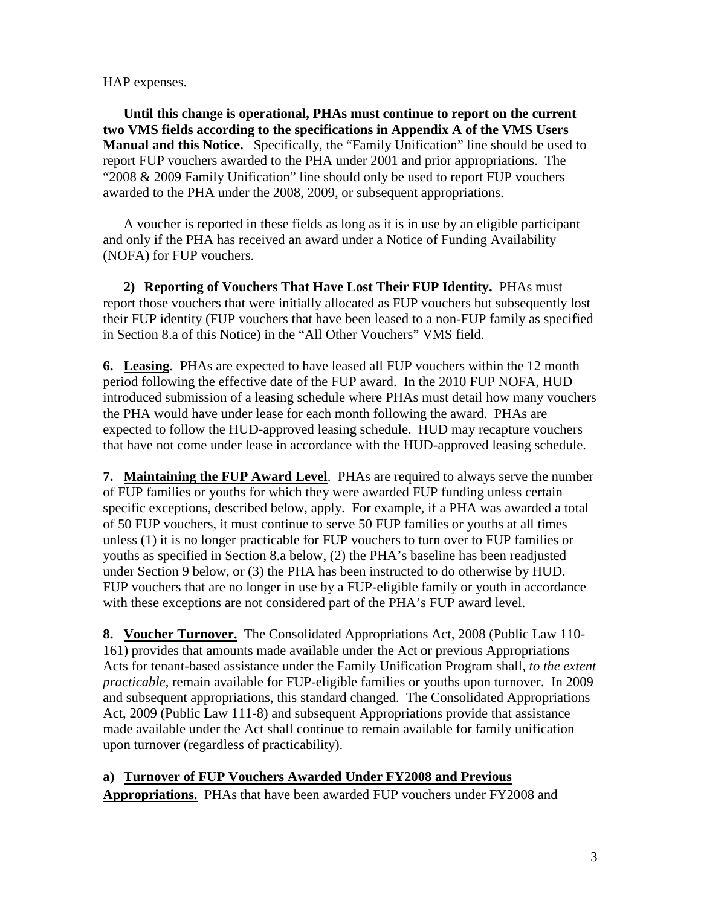HAP expenses.

**Until this change is operational, PHAs must continue to report on the current two VMS fields according to the specifications in Appendix A of the VMS Users Manual and this Notice.** Specifically, the "Family Unification" line should be used to report FUP vouchers awarded to the PHA under 2001 and prior appropriations. The "2008 & 2009 Family Unification" line should only be used to report FUP vouchers awarded to the PHA under the 2008, 2009, or subsequent appropriations.

A voucher is reported in these fields as long as it is in use by an eligible participant and only if the PHA has received an award under a Notice of Funding Availability (NOFA) for FUP vouchers.

**2) Reporting of Vouchers That Have Lost Their FUP Identity.** PHAs must report those vouchers that were initially allocated as FUP vouchers but subsequently lost their FUP identity (FUP vouchers that have been leased to a non-FUP family as specified in Section 8.a of this Notice) in the "All Other Vouchers" VMS field.

**6. Leasing**. PHAs are expected to have leased all FUP vouchers within the 12 month period following the effective date of the FUP award. In the 2010 FUP NOFA, HUD introduced submission of a leasing schedule where PHAs must detail how many vouchers the PHA would have under lease for each month following the award. PHAs are expected to follow the HUD-approved leasing schedule. HUD may recapture vouchers that have not come under lease in accordance with the HUD-approved leasing schedule.

**7. Maintaining the FUP Award Level**. PHAs are required to always serve the number of FUP families or youths for which they were awarded FUP funding unless certain specific exceptions, described below, apply. For example, if a PHA was awarded a total of 50 FUP vouchers, it must continue to serve 50 FUP families or youths at all times unless (1) it is no longer practicable for FUP vouchers to turn over to FUP families or youths as specified in Section 8.a below, (2) the PHA's baseline has been readjusted under Section 9 below, or (3) the PHA has been instructed to do otherwise by HUD. FUP vouchers that are no longer in use by a FUP-eligible family or youth in accordance with these exceptions are not considered part of the PHA's FUP award level.

**8. Voucher Turnover.** The Consolidated Appropriations Act, 2008 (Public Law 110- 161) provides that amounts made available under the Act or previous Appropriations Acts for tenant-based assistance under the Family Unification Program shall, *to the extent practicable*, remain available for FUP-eligible families or youths upon turnover. In 2009 and subsequent appropriations, this standard changed. The Consolidated Appropriations Act, 2009 (Public Law 111-8) and subsequent Appropriations provide that assistance made available under the Act shall continue to remain available for family unification upon turnover (regardless of practicability).

**a) Turnover of FUP Vouchers Awarded Under FY2008 and Previous Appropriations.** PHAs that have been awarded FUP vouchers under FY2008 and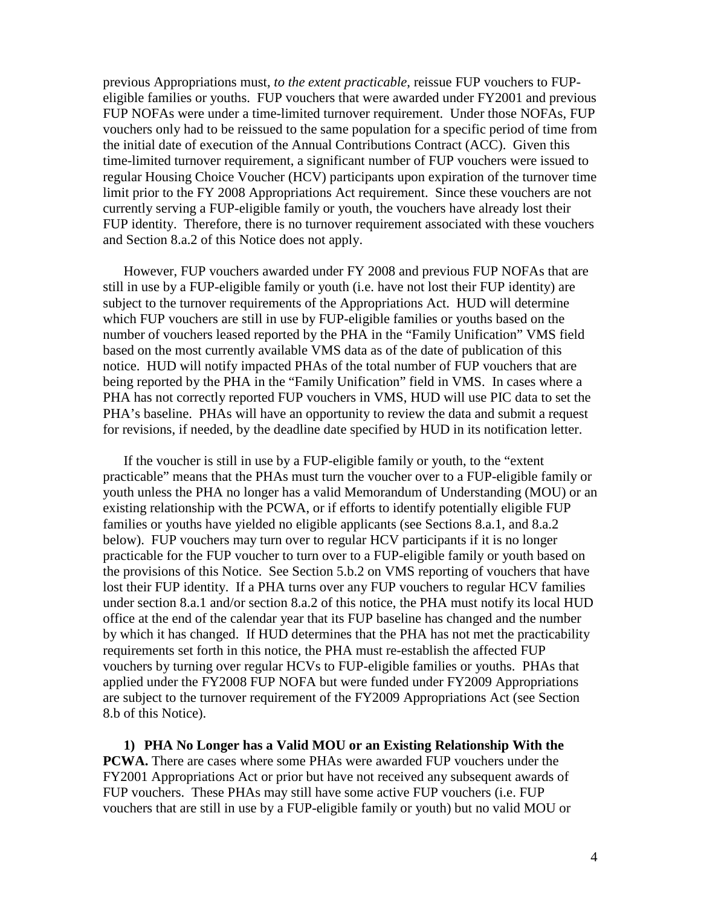previous Appropriations must, *to the extent practicable*, reissue FUP vouchers to FUPeligible families or youths. FUP vouchers that were awarded under FY2001 and previous FUP NOFAs were under a time-limited turnover requirement. Under those NOFAs, FUP vouchers only had to be reissued to the same population for a specific period of time from the initial date of execution of the Annual Contributions Contract (ACC). Given this time-limited turnover requirement, a significant number of FUP vouchers were issued to regular Housing Choice Voucher (HCV) participants upon expiration of the turnover time limit prior to the FY 2008 Appropriations Act requirement. Since these vouchers are not currently serving a FUP-eligible family or youth, the vouchers have already lost their FUP identity. Therefore, there is no turnover requirement associated with these vouchers and Section 8.a.2 of this Notice does not apply.

However, FUP vouchers awarded under FY 2008 and previous FUP NOFAs that are still in use by a FUP-eligible family or youth (i.e. have not lost their FUP identity) are subject to the turnover requirements of the Appropriations Act. HUD will determine which FUP vouchers are still in use by FUP-eligible families or youths based on the number of vouchers leased reported by the PHA in the "Family Unification" VMS field based on the most currently available VMS data as of the date of publication of this notice. HUD will notify impacted PHAs of the total number of FUP vouchers that are being reported by the PHA in the "Family Unification" field in VMS. In cases where a PHA has not correctly reported FUP vouchers in VMS, HUD will use PIC data to set the PHA's baseline. PHAs will have an opportunity to review the data and submit a request for revisions, if needed, by the deadline date specified by HUD in its notification letter.

If the voucher is still in use by a FUP-eligible family or youth, to the "extent practicable" means that the PHAs must turn the voucher over to a FUP-eligible family or youth unless the PHA no longer has a valid Memorandum of Understanding (MOU) or an existing relationship with the PCWA, or if efforts to identify potentially eligible FUP families or youths have yielded no eligible applicants (see Sections 8.a.1, and 8.a.2 below). FUP vouchers may turn over to regular HCV participants if it is no longer practicable for the FUP voucher to turn over to a FUP-eligible family or youth based on the provisions of this Notice. See Section 5.b.2 on VMS reporting of vouchers that have lost their FUP identity. If a PHA turns over any FUP vouchers to regular HCV families under section 8.a.1 and/or section 8.a.2 of this notice, the PHA must notify its local HUD office at the end of the calendar year that its FUP baseline has changed and the number by which it has changed. If HUD determines that the PHA has not met the practicability requirements set forth in this notice, the PHA must re-establish the affected FUP vouchers by turning over regular HCVs to FUP-eligible families or youths. PHAs that applied under the FY2008 FUP NOFA but were funded under FY2009 Appropriations are subject to the turnover requirement of the FY2009 Appropriations Act (see Section 8.b of this Notice).

**1) PHA No Longer has a Valid MOU or an Existing Relationship With the PCWA.** There are cases where some PHAs were awarded FUP vouchers under the FY2001 Appropriations Act or prior but have not received any subsequent awards of FUP vouchers. These PHAs may still have some active FUP vouchers (i.e. FUP vouchers that are still in use by a FUP-eligible family or youth) but no valid MOU or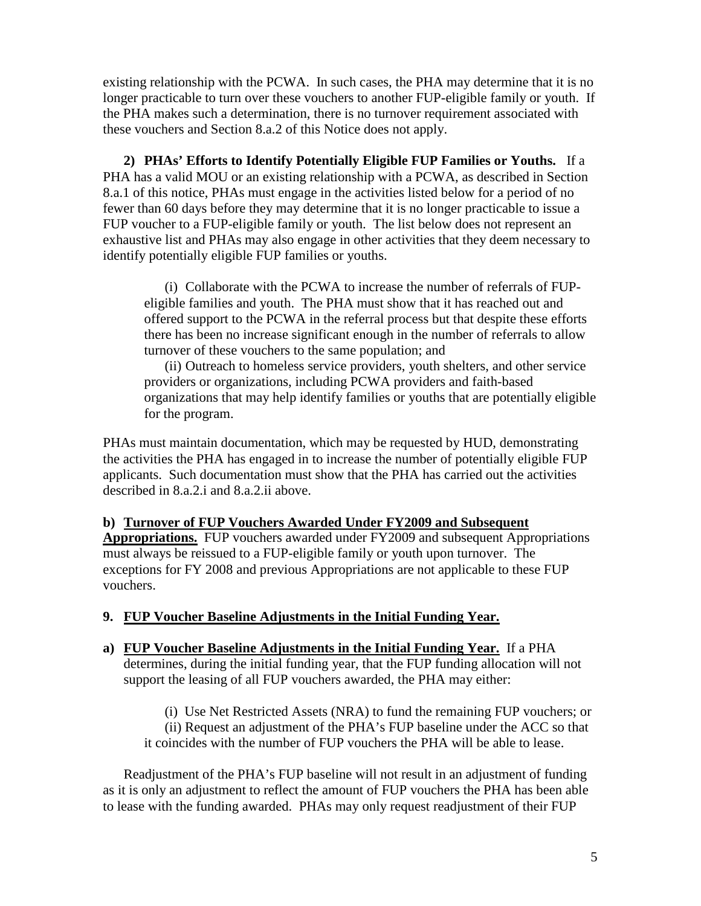existing relationship with the PCWA. In such cases, the PHA may determine that it is no longer practicable to turn over these vouchers to another FUP-eligible family or youth. If the PHA makes such a determination, there is no turnover requirement associated with these vouchers and Section 8.a.2 of this Notice does not apply.

**2) PHAs' Efforts to Identify Potentially Eligible FUP Families or Youths.** If a PHA has a valid MOU or an existing relationship with a PCWA, as described in Section 8.a.1 of this notice, PHAs must engage in the activities listed below for a period of no fewer than 60 days before they may determine that it is no longer practicable to issue a FUP voucher to a FUP-eligible family or youth. The list below does not represent an exhaustive list and PHAs may also engage in other activities that they deem necessary to identify potentially eligible FUP families or youths.

(i) Collaborate with the PCWA to increase the number of referrals of FUPeligible families and youth. The PHA must show that it has reached out and offered support to the PCWA in the referral process but that despite these efforts there has been no increase significant enough in the number of referrals to allow turnover of these vouchers to the same population; and

(ii) Outreach to homeless service providers, youth shelters, and other service providers or organizations, including PCWA providers and faith-based organizations that may help identify families or youths that are potentially eligible for the program.

PHAs must maintain documentation, which may be requested by HUD, demonstrating the activities the PHA has engaged in to increase the number of potentially eligible FUP applicants. Such documentation must show that the PHA has carried out the activities described in 8.a.2.i and 8.a.2.ii above.

## **b) Turnover of FUP Vouchers Awarded Under FY2009 and Subsequent**

**Appropriations.** FUP vouchers awarded under FY2009 and subsequent Appropriations must always be reissued to a FUP-eligible family or youth upon turnover. The exceptions for FY 2008 and previous Appropriations are not applicable to these FUP vouchers.

## **9. FUP Voucher Baseline Adjustments in the Initial Funding Year.**

**a) FUP Voucher Baseline Adjustments in the Initial Funding Year.** If a PHA determines, during the initial funding year, that the FUP funding allocation will not support the leasing of all FUP vouchers awarded, the PHA may either:

(i) Use Net Restricted Assets (NRA) to fund the remaining FUP vouchers; or (ii) Request an adjustment of the PHA's FUP baseline under the ACC so that it coincides with the number of FUP vouchers the PHA will be able to lease.

Readjustment of the PHA's FUP baseline will not result in an adjustment of funding as it is only an adjustment to reflect the amount of FUP vouchers the PHA has been able to lease with the funding awarded. PHAs may only request readjustment of their FUP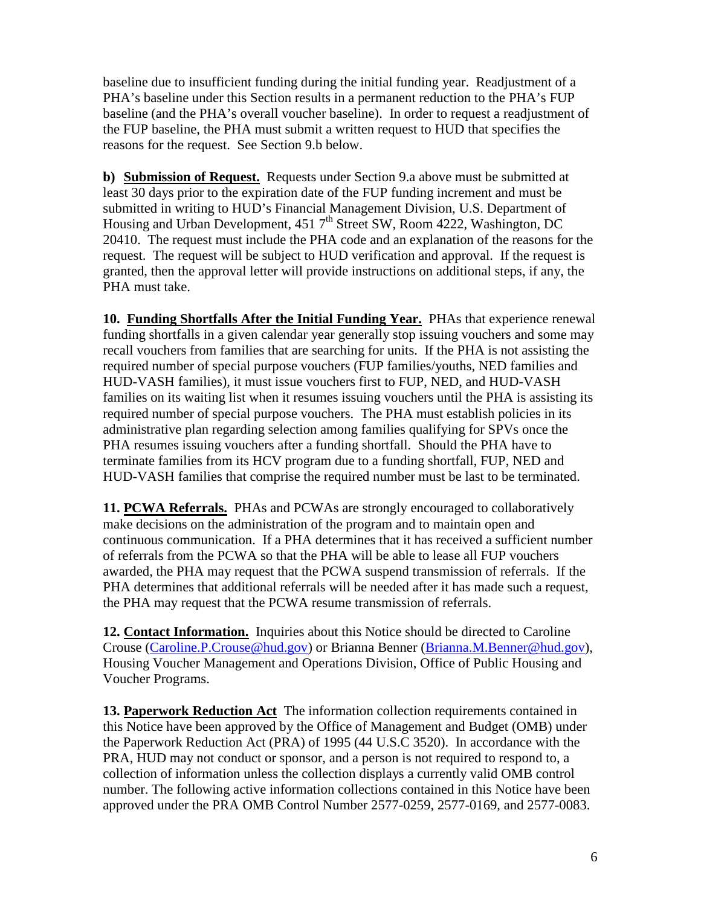baseline due to insufficient funding during the initial funding year. Readjustment of a PHA's baseline under this Section results in a permanent reduction to the PHA's FUP baseline (and the PHA's overall voucher baseline). In order to request a readjustment of the FUP baseline, the PHA must submit a written request to HUD that specifies the reasons for the request. See Section 9.b below.

**b) Submission of Request.** Requests under Section 9.a above must be submitted at least 30 days prior to the expiration date of the FUP funding increment and must be submitted in writing to HUD's Financial Management Division, U.S. Department of Housing and Urban Development, 451  $7<sup>th</sup>$  Street SW, Room 4222, Washington, DC 20410. The request must include the PHA code and an explanation of the reasons for the request. The request will be subject to HUD verification and approval. If the request is granted, then the approval letter will provide instructions on additional steps, if any, the PHA must take.

**10. Funding Shortfalls After the Initial Funding Year.** PHAs that experience renewal funding shortfalls in a given calendar year generally stop issuing vouchers and some may recall vouchers from families that are searching for units. If the PHA is not assisting the required number of special purpose vouchers (FUP families/youths, NED families and HUD-VASH families), it must issue vouchers first to FUP, NED, and HUD-VASH families on its waiting list when it resumes issuing vouchers until the PHA is assisting its required number of special purpose vouchers. The PHA must establish policies in its administrative plan regarding selection among families qualifying for SPVs once the PHA resumes issuing vouchers after a funding shortfall. Should the PHA have to terminate families from its HCV program due to a funding shortfall, FUP, NED and HUD-VASH families that comprise the required number must be last to be terminated.

**11. PCWA Referrals.** PHAs and PCWAs are strongly encouraged to collaboratively make decisions on the administration of the program and to maintain open and continuous communication. If a PHA determines that it has received a sufficient number of referrals from the PCWA so that the PHA will be able to lease all FUP vouchers awarded, the PHA may request that the PCWA suspend transmission of referrals. If the PHA determines that additional referrals will be needed after it has made such a request, the PHA may request that the PCWA resume transmission of referrals.

**12. Contact Information.** Inquiries about this Notice should be directed to Caroline Crouse([Caroline.P.Crouse@hud.gov](mailto:Caroline.P.Crouse@hud.gov)) or Brianna Benner (Brianna.M.Benner@hud.gov), Housing Voucher Management and Operations Division, Office of Public Housing and Voucher Programs.

**13. Paperwork Reduction Act** The information collection requirements contained in this Notice have been approved by the Office of Management and Budget (OMB) under the Paperwork Reduction Act (PRA) of 1995 (44 U.S.C 3520). In accordance with the PRA, HUD may not conduct or sponsor, and a person is not required to respond to, a collection of information unless the collection displays a currently valid OMB control number. The following active information collections contained in this Notice have been approved under the PRA OMB Control Number 2577-0259, 2577-0169, and 2577-0083.